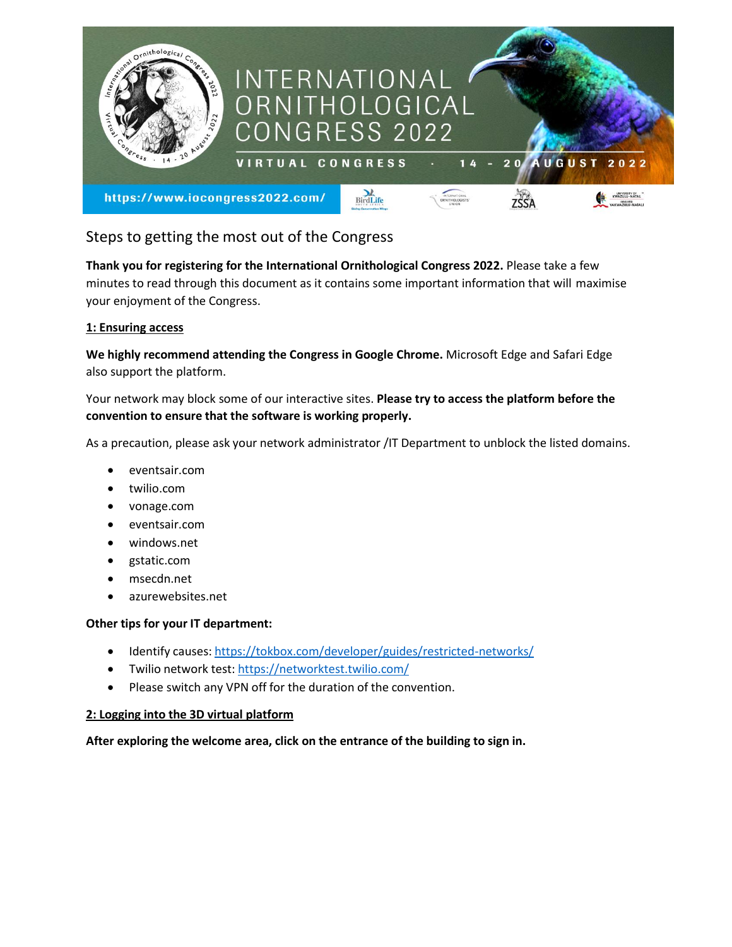

# Steps to getting the most out of the Congress

**Thank you for registering for the International Ornithological Congress 2022.** Please take a few minutes to read through this document as it contains some important information that will maximise your enjoyment of the Congress.

# **1: Ensuring access**

**We highly recommend attending the Congress in Google Chrome.** Microsoft Edge and Safari Edge also support the platform.

Your network may block some of our interactive sites. **Please try to access the platform before the convention to ensure that the software is working properly.**

As a precaution, please ask your network administrator /IT Department to unblock the listed domains.

- eventsair.com
- twilio.com
- vonage.com
- eventsair.com
- windows.net
- gstatic.com
- msecdn.net
- azurewebsites.net

# **Other tips for your IT department:**

- Identify causes: <https://tokbox.com/developer/guides/restricted-networks/>
- Twilio network test: <https://networktest.twilio.com/>
- Please switch any VPN off for the duration of the convention.

# **2: Logging into the 3D virtual platform**

**After exploring the welcome area, click on the entrance of the building to sign in.**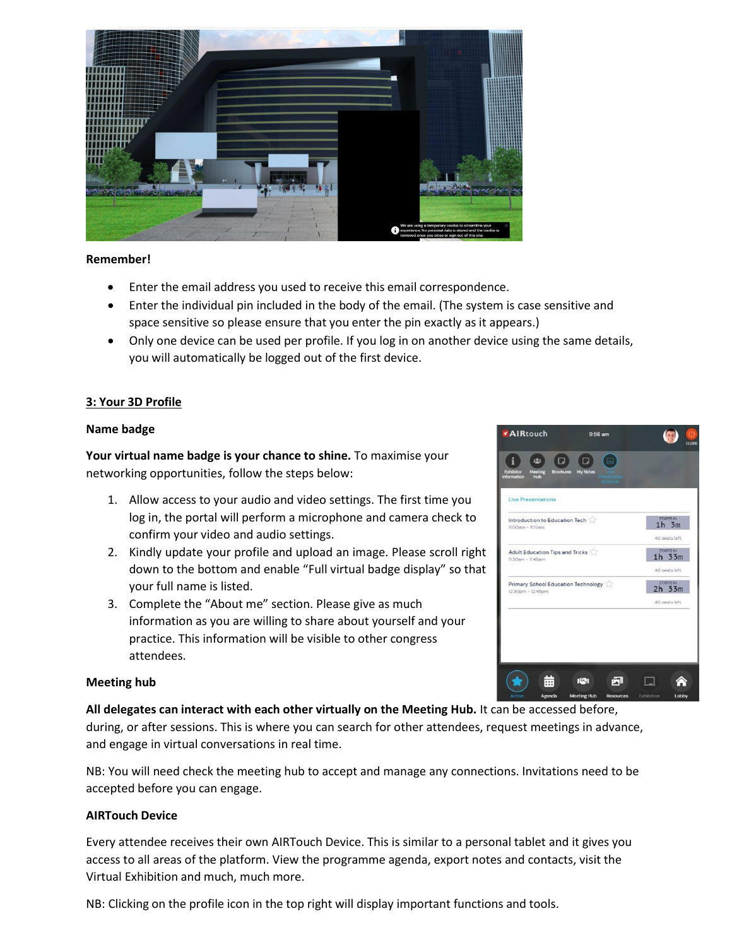

### **Remember!**

- Enter the email address you used to receive this email correspondence.
- Enter the individual pin included in the body of the email. (The system is case sensitive and space sensitive so please ensure that you enter the pin exactly as it appears.)
- Only one device can be used per profile. If you log in on another device using the same details, you will automatically be logged out of the first device.

# **3: Your 3D Profile**

### **Name badge**

**Your virtual name badge is your chance to shine.** To maximise your networking opportunities, follow the steps below:

- 1. Allow access to your audio and video settings. The first time you log in, the portal will perform a microphone and camera check to confirm your video and audio settings.
- 2. Kindly update your profile and upload an image. Please scroll right down to the bottom and enable "Full virtual badge display" so that your full name is listed.
- 3. Complete the "About me" section. Please give as much information as you are willing to share about yourself and your practice. This information will be visible to other congress attendees.

# **Meeting hub**

**All delegates can interact with each other virtually on the Meeting Hub.** It can be accessed before,

during, or after sessions. This is where you can search for other attendees, request meetings in advance, and engage in virtual conversations in real time.

NB: You will need check the meeting hub to accept and manage any connections. Invitations need to be accepted before you can engage.

# **AIRTouch Device**

Every attendee receives their own AIRTouch Device. This is similar to a personal tablet and it gives you access to all areas of the platform. View the programme agenda, export notes and contacts, visit the Virtual Exhibition and much, much more.

NB: Clicking on the profile icon in the top right will display important functions and tools.

| i<br>iå:<br>П<br>Meeting<br><b>Exhibitor</b><br>Information<br>Hub | п<br>Brochures My Notes |                                |
|--------------------------------------------------------------------|-------------------------|--------------------------------|
| <b>Live Presentations</b>                                          |                         |                                |
| Introduction to Education Tech<br>$1100$ arn - $115$ arn           |                         | STARTS IN<br>$1h$ 3 $m$        |
|                                                                    |                         | 40 peats left                  |
| Adult Education Tips and Tricks<br>$11:30$ am - $11:45$ am         |                         | STARTS IN<br>$1h$ $33m$        |
|                                                                    |                         | 40 seats left                  |
| Primary School Education Technology<br>12:30pm - 12:45pm           |                         | <b>STARTS IN</b><br>$2h$ $33m$ |
|                                                                    |                         | 40 seats left                  |
|                                                                    |                         |                                |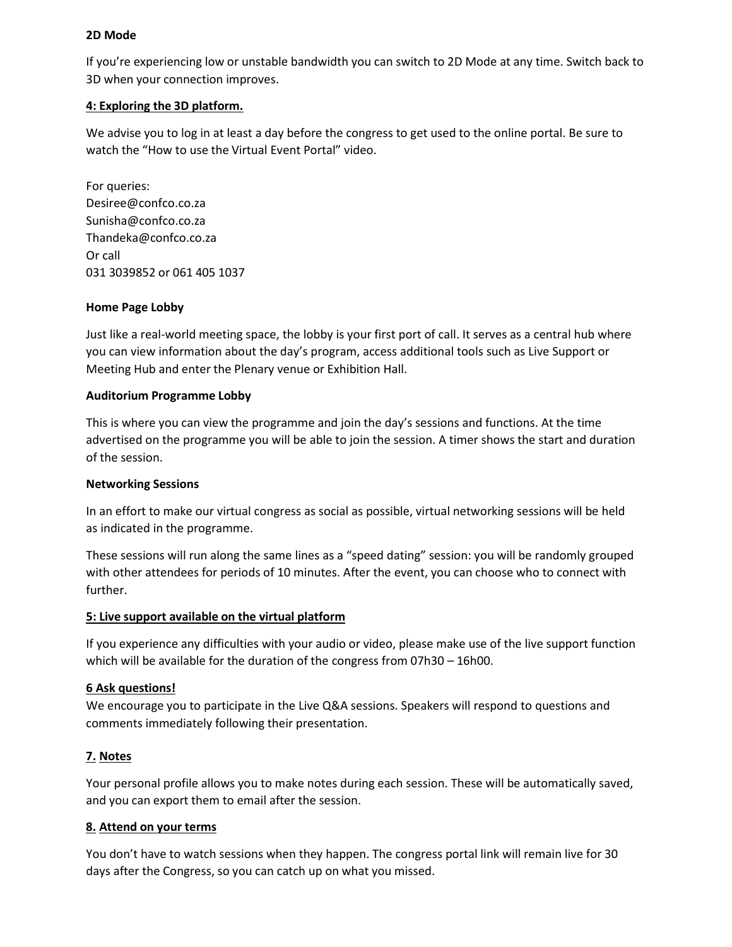### **2D Mode**

If you're experiencing low or unstable bandwidth you can switch to 2D Mode at any time. Switch back to 3D when your connection improves.

# **4: Exploring the 3D platform.**

We advise you to log in at least a day before the congress to get used to the online portal. Be sure to watch the "How to use the Virtual Event Portal" video.

For queries: Desiree@confco.co.za [Sunisha@confco.co.za](mailto:Sunisha@confco.co.za) [Thandeka@confco.co.za](mailto:Thandeka@confco.co.za) Or call 031 3039852 or 061 405 1037

### **Home Page Lobby**

Just like a real-world meeting space, the lobby is your first port of call. It serves as a central hub where you can view information about the day's program, access additional tools such as Live Support or Meeting Hub and enter the Plenary venue or Exhibition Hall.

### **Auditorium Programme Lobby**

This is where you can view the programme and join the day's sessions and functions. At the time advertised on the programme you will be able to join the session. A timer shows the start and duration of the session.

# **Networking Sessions**

In an effort to make our virtual congress as social as possible, virtual networking sessions will be held as indicated in the programme.

These sessions will run along the same lines as a "speed dating" session: you will be randomly grouped with other attendees for periods of 10 minutes. After the event, you can choose who to connect with further.

# **5: Live support available on the virtual platform**

If you experience any difficulties with your audio or video, please make use of the live support function which will be available for the duration of the congress from 07h30 – 16h00.

# **6 Ask questions!**

We encourage you to participate in the Live Q&A sessions. Speakers will respond to questions and comments immediately following their presentation.

# **7. Notes**

Your personal profile allows you to make notes during each session. These will be automatically saved, and you can export them to email after the session.

# **8. Attend on your terms**

You don't have to watch sessions when they happen. The congress portal link will remain live for 30 days after the Congress, so you can catch up on what you missed.